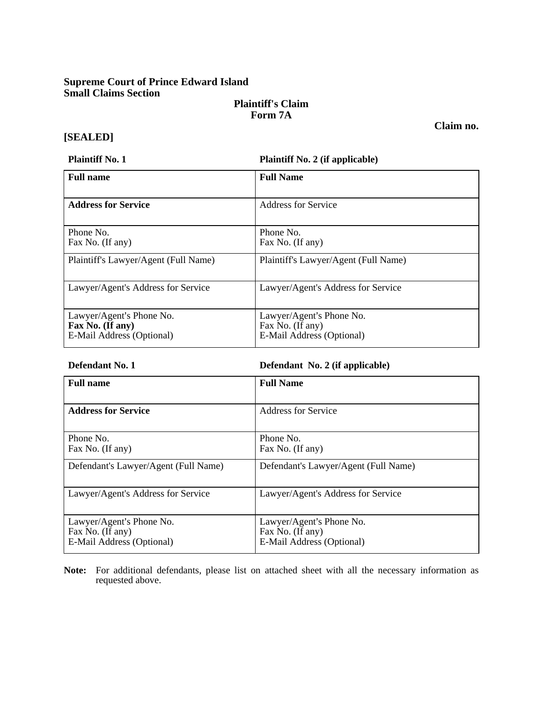# **Supreme Court of Prince Edward Island Small Claims Section**

# **Plaintiff's Claim Form 7A**

**Claim no.** 

## **[SEALED]**

**Plaintiff No. 1 Plaintiff No. 2 (if applicable)** 

| <b>Full name</b>                                                          | <b>Full Name</b>                                                          |  |
|---------------------------------------------------------------------------|---------------------------------------------------------------------------|--|
| <b>Address for Service</b>                                                | <b>Address for Service</b>                                                |  |
| Phone No.<br>Fax No. (If any)                                             | Phone No.<br>Fax No. (If any)                                             |  |
| Plaintiff's Lawyer/Agent (Full Name)                                      | Plaintiff's Lawyer/Agent (Full Name)                                      |  |
| Lawyer/Agent's Address for Service                                        | Lawyer/Agent's Address for Service                                        |  |
| Lawyer/Agent's Phone No.<br>Fax No. (If any)<br>E-Mail Address (Optional) | Lawyer/Agent's Phone No.<br>Fax No. (If any)<br>E-Mail Address (Optional) |  |

| Defendant No. 1 | Defendant No. 2 (if applicable) |
|-----------------|---------------------------------|
|-----------------|---------------------------------|

| <b>Full name</b>                                                          | <b>Full Name</b>                                                          |
|---------------------------------------------------------------------------|---------------------------------------------------------------------------|
| <b>Address for Service</b>                                                | <b>Address for Service</b>                                                |
| Phone No.<br>Fax No. (If any)                                             | Phone No.<br>Fax No. (If any)                                             |
| Defendant's Lawyer/Agent (Full Name)                                      | Defendant's Lawyer/Agent (Full Name)                                      |
| Lawyer/Agent's Address for Service                                        | Lawyer/Agent's Address for Service                                        |
| Lawyer/Agent's Phone No.<br>Fax No. (If any)<br>E-Mail Address (Optional) | Lawyer/Agent's Phone No.<br>Fax No. (If any)<br>E-Mail Address (Optional) |

**Note:** For additional defendants, please list on attached sheet with all the necessary information as requested above.